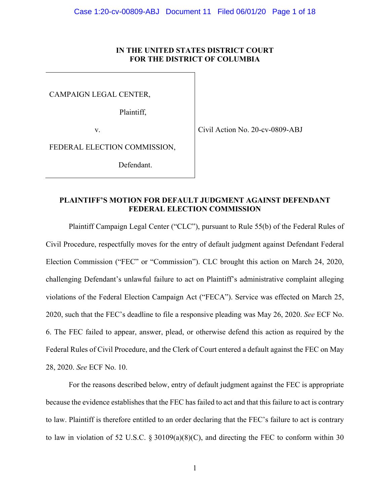# **IN THE UNITED STATES DISTRICT COURT FOR THE DISTRICT OF COLUMBIA**

CAMPAIGN LEGAL CENTER,

Plaintiff,

v.

Civil Action No. 20-cv-0809-ABJ

FEDERAL ELECTION COMMISSION,

Defendant.

# **PLAINTIFF'S MOTION FOR DEFAULT JUDGMENT AGAINST DEFENDANT FEDERAL ELECTION COMMISSION**

Plaintiff Campaign Legal Center ("CLC"), pursuant to Rule 55(b) of the Federal Rules of Civil Procedure, respectfully moves for the entry of default judgment against Defendant Federal Election Commission ("FEC" or "Commission"). CLC brought this action on March 24, 2020, challenging Defendant's unlawful failure to act on Plaintiff's administrative complaint alleging violations of the Federal Election Campaign Act ("FECA"). Service was effected on March 25, 2020, such that the FEC's deadline to file a responsive pleading was May 26, 2020. *See* ECF No. 6. The FEC failed to appear, answer, plead, or otherwise defend this action as required by the Federal Rules of Civil Procedure, and the Clerk of Court entered a default against the FEC on May 28, 2020. *See* ECF No. 10.

For the reasons described below, entry of default judgment against the FEC is appropriate because the evidence establishes that the FEC has failed to act and that this failure to act is contrary to law. Plaintiff is therefore entitled to an order declaring that the FEC's failure to act is contrary to law in violation of 52 U.S.C. § 30109(a)(8)(C), and directing the FEC to conform within 30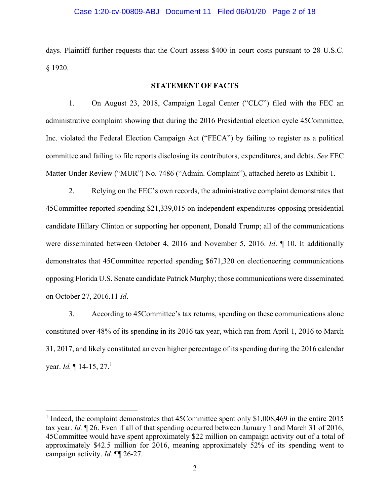#### Case 1:20-cv-00809-ABJ Document 11 Filed 06/01/20 Page 2 of 18

days. Plaintiff further requests that the Court assess \$400 in court costs pursuant to 28 U.S.C. § 1920.

#### **STATEMENT OF FACTS**

1. On August 23, 2018, Campaign Legal Center ("CLC") filed with the FEC an administrative complaint showing that during the 2016 Presidential election cycle 45Committee, Inc. violated the Federal Election Campaign Act ("FECA") by failing to register as a political committee and failing to file reports disclosing its contributors, expenditures, and debts. *See* FEC Matter Under Review ("MUR") No. 7486 ("Admin. Complaint"), attached hereto as Exhibit 1.

2. Relying on the FEC's own records, the administrative complaint demonstrates that 45Committee reported spending \$21,339,015 on independent expenditures opposing presidential candidate Hillary Clinton or supporting her opponent, Donald Trump; all of the communications were disseminated between October 4, 2016 and November 5, 2016. *Id*. ¶ 10. It additionally demonstrates that 45Committee reported spending \$671,320 on electioneering communications opposing Florida U.S. Senate candidate Patrick Murphy; those communications were disseminated on October 27, 2016.11 *Id*.

3. According to 45Committee's tax returns, spending on these communications alone constituted over 48% of its spending in its 2016 tax year, which ran from April 1, 2016 to March 31, 2017, and likely constituted an even higher percentage of its spending during the 2016 calendar year. *Id.* | 14-15, 27.<sup>1</sup>

 $\overline{a}$ 

<sup>&</sup>lt;sup>1</sup> Indeed, the complaint demonstrates that 45Committee spent only \$1,008,469 in the entire 2015 tax year. *Id.* ¶ 26. Even if all of that spending occurred between January 1 and March 31 of 2016, 45Committee would have spent approximately \$22 million on campaign activity out of a total of approximately \$42.5 million for 2016, meaning approximately 52% of its spending went to campaign activity. *Id.* ¶¶ 26-27.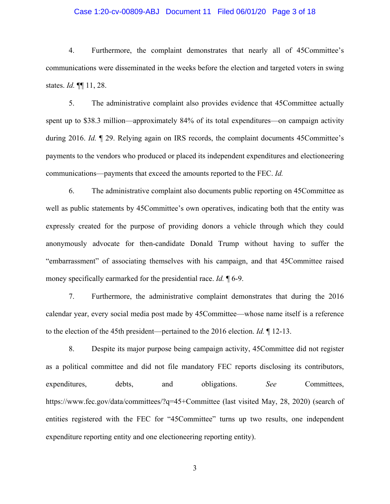# Case 1:20-cv-00809-ABJ Document 11 Filed 06/01/20 Page 3 of 18

4. Furthermore, the complaint demonstrates that nearly all of 45Committee's communications were disseminated in the weeks before the election and targeted voters in swing states. *Id.* ¶¶ 11, 28.

5. The administrative complaint also provides evidence that 45Committee actually spent up to \$38.3 million—approximately 84% of its total expenditures—on campaign activity during 2016. *Id.* ¶ 29. Relying again on IRS records, the complaint documents 45Committee's payments to the vendors who produced or placed its independent expenditures and electioneering communications—payments that exceed the amounts reported to the FEC. *Id.*

6. The administrative complaint also documents public reporting on 45Committee as well as public statements by 45Committee's own operatives, indicating both that the entity was expressly created for the purpose of providing donors a vehicle through which they could anonymously advocate for then-candidate Donald Trump without having to suffer the "embarrassment" of associating themselves with his campaign, and that 45Committee raised money specifically earmarked for the presidential race. *Id.* ¶ 6-9.

7. Furthermore, the administrative complaint demonstrates that during the 2016 calendar year, every social media post made by 45Committee—whose name itself is a reference to the election of the 45th president—pertained to the 2016 election. *Id.* ¶ 12-13.

8. Despite its major purpose being campaign activity, 45Committee did not register as a political committee and did not file mandatory FEC reports disclosing its contributors, expenditures, debts, and obligations. *See* Committees, https://www.fec.gov/data/committees/?q=45+Committee (last visited May, 28, 2020) (search of entities registered with the FEC for "45Committee" turns up two results, one independent expenditure reporting entity and one electioneering reporting entity).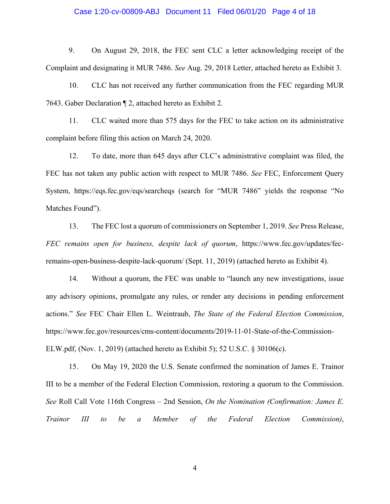#### Case 1:20-cv-00809-ABJ Document 11 Filed 06/01/20 Page 4 of 18

9. On August 29, 2018, the FEC sent CLC a letter acknowledging receipt of the Complaint and designating it MUR 7486. *See* Aug. 29, 2018 Letter, attached hereto as Exhibit 3.

10. CLC has not received any further communication from the FEC regarding MUR 7643. Gaber Declaration ¶ 2, attached hereto as Exhibit 2.

11. CLC waited more than 575 days for the FEC to take action on its administrative complaint before filing this action on March 24, 2020.

12. To date, more than 645 days after CLC's administrative complaint was filed, the FEC has not taken any public action with respect to MUR 7486. *See* FEC, Enforcement Query System, https://eqs.fec.gov/eqs/searcheqs (search for "MUR 7486" yields the response "No Matches Found").

13. The FEC lost a quorum of commissioners on September 1, 2019. *See* Press Release, *FEC remains open for business, despite lack of quorum*, https://www.fec.gov/updates/fecremains-open-business-despite-lack-quorum/ (Sept. 11, 2019) (attached hereto as Exhibit 4).

14. Without a quorum, the FEC was unable to "launch any new investigations, issue any advisory opinions, promulgate any rules, or render any decisions in pending enforcement actions." *See* FEC Chair Ellen L. Weintraub, *The State of the Federal Election Commission*, https://www.fec.gov/resources/cms-content/documents/2019-11-01-State-of-the-Commission-ELW.pdf, (Nov. 1, 2019) (attached hereto as Exhibit 5); 52 U.S.C. § 30106(c).

15. On May 19, 2020 the U.S. Senate confirmed the nomination of James E. Trainor III to be a member of the Federal Election Commission, restoring a quorum to the Commission. *See* Roll Call Vote 116th Congress – 2nd Session, *On the Nomination (Confirmation: James E. Trainor III to be a Member of the Federal Election Commission)*,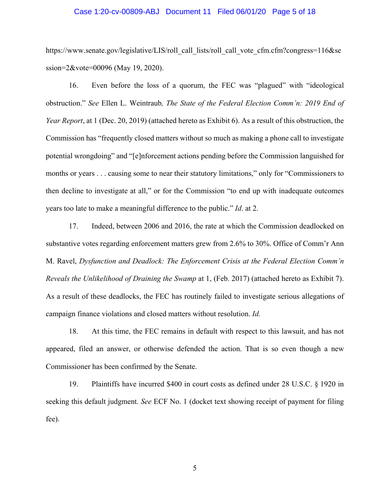#### Case 1:20-cv-00809-ABJ Document 11 Filed 06/01/20 Page 5 of 18

https://www.senate.gov/legislative/LIS/roll\_call\_lists/roll\_call\_vote\_cfm.cfm?congress=116&se ssion=2&vote=00096 (May 19, 2020).

16. Even before the loss of a quorum, the FEC was "plagued" with "ideological obstruction." *See* Ellen L. Weintraub*, The State of the Federal Election Comm'n: 2019 End of Year Report*, at 1 (Dec. 20, 2019) (attached hereto as Exhibit 6). As a result of this obstruction, the Commission has "frequently closed matters without so much as making a phone call to investigate potential wrongdoing" and "[e]nforcement actions pending before the Commission languished for months or years . . . causing some to near their statutory limitations," only for "Commissioners to then decline to investigate at all," or for the Commission "to end up with inadequate outcomes years too late to make a meaningful difference to the public." *Id*. at 2.

17. Indeed, between 2006 and 2016, the rate at which the Commission deadlocked on substantive votes regarding enforcement matters grew from 2.6% to 30%. Office of Comm'r Ann M. Ravel, *Dysfunction and Deadlock: The Enforcement Crisis at the Federal Election Comm'n Reveals the Unlikelihood of Draining the Swamp* at 1, (Feb. 2017) (attached hereto as Exhibit 7). As a result of these deadlocks, the FEC has routinely failed to investigate serious allegations of campaign finance violations and closed matters without resolution. *Id.*

18. At this time, the FEC remains in default with respect to this lawsuit, and has not appeared, filed an answer, or otherwise defended the action. That is so even though a new Commissioner has been confirmed by the Senate.

19. Plaintiffs have incurred \$400 in court costs as defined under 28 U.S.C. § 1920 in seeking this default judgment. *See* ECF No. 1 (docket text showing receipt of payment for filing fee).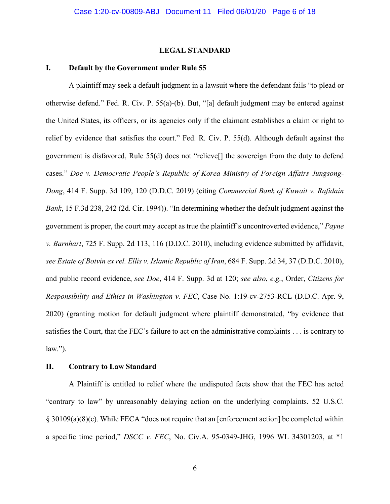# **LEGAL STANDARD**

# **I. Default by the Government under Rule 55**

 A plaintiff may seek a default judgment in a lawsuit where the defendant fails "to plead or otherwise defend." Fed. R. Civ. P. 55(a)-(b). But, "[a] default judgment may be entered against the United States, its officers, or its agencies only if the claimant establishes a claim or right to relief by evidence that satisfies the court." Fed. R. Civ. P. 55(d). Although default against the government is disfavored, Rule 55(d) does not "relieve[] the sovereign from the duty to defend cases." *Doe v. Democratic People's Republic of Korea Ministry of Foreign Affairs Jungsong-Dong*, 414 F. Supp. 3d 109, 120 (D.D.C. 2019) (citing *Commercial Bank of Kuwait v. Rafidain Bank*, 15 F.3d 238, 242 (2d. Cir. 1994)). "In determining whether the default judgment against the government is proper, the court may accept as true the plaintiff's uncontroverted evidence," *Payne v. Barnhart*, 725 F. Supp. 2d 113, 116 (D.D.C. 2010), including evidence submitted by affidavit, *see Estate of Botvin ex rel. Ellis v. Islamic Republic of Iran*, 684 F. Supp. 2d 34, 37 (D.D.C. 2010), and public record evidence, *see Doe*, 414 F. Supp. 3d at 120; *see also*, *e.g.*, Order, *Citizens for Responsibility and Ethics in Washington v. FEC*, Case No. 1:19-cv-2753-RCL (D.D.C. Apr. 9, 2020) (granting motion for default judgment where plaintiff demonstrated, "by evidence that satisfies the Court, that the FEC's failure to act on the administrative complaints . . . is contrary to  $law.$ ").

# **II. Contrary to Law Standard**

 A Plaintiff is entitled to relief where the undisputed facts show that the FEC has acted "contrary to law" by unreasonably delaying action on the underlying complaints. 52 U.S.C. § 30109(a)(8)(c). While FECA "does not require that an [enforcement action] be completed within a specific time period," *DSCC v. FEC*, No. Civ.A. 95-0349-JHG, 1996 WL 34301203, at \*1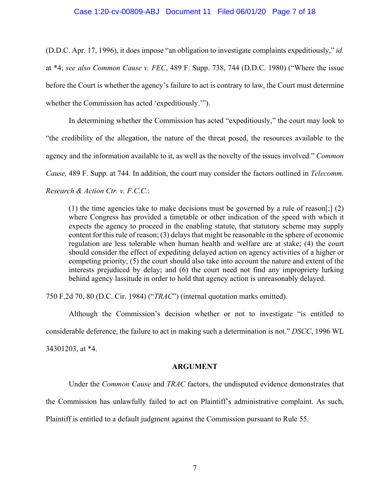#### Case 1:20-cv-00809-ABJ Document 11 Filed 06/01/20 Page 7 of 18

(D.D.C. Apr. 17, 1996), it does impose "an obligation to investigate complaints expeditiously," *id.* at \*4; *see also Common Cause v. FEC*, 489 F. Supp. 738, 744 (D.D.C. 1980) ("Where the issue before the Court is whether the agency's failure to act is contrary to law, the Court must determine whether the Commission has acted 'expeditiously.'").

In determining whether the Commission has acted "expeditiously," the court may look to "the credibility of the allegation, the nature of the threat posed, the resources available to the agency and the information available to it, as well as the novelty of the issues involved." *Common Cause,* 489 F. Supp. at 744. In addition, the court may consider the factors outlined in *Telecomm. Research & Action Ctr. v. F.C.C.*:

(1) the time agencies take to make decisions must be governed by a rule of reason[;]  $(2)$ where Congress has provided a timetable or other indication of the speed with which it expects the agency to proceed in the enabling statute, that statutory scheme may supply content for this rule of reason; (3) delays that might be reasonable in the sphere of economic regulation are less tolerable when human health and welfare are at stake; (4) the court should consider the effect of expediting delayed action on agency activities of a higher or competing priority; (5) the court should also take into account the nature and extent of the interests prejudiced by delay; and (6) the court need not find any impropriety lurking behind agency lassitude in order to hold that agency action is unreasonably delayed.

750 F.2d 70, 80 (D.C. Cir. 1984) ("*TRAC*") (internal quotation marks omitted).

Although the Commission's decision whether or not to investigate "is entitled to considerable deference, the failure to act in making such a determination is not." *DSCC*, 1996 WL 34301203, at \*4.

#### **ARGUMENT**

 Under the *Common Cause* and *TRAC* factors, the undisputed evidence demonstrates that the Commission has unlawfully failed to act on Plaintiff's administrative complaint. As such, Plaintiff is entitled to a default judgment against the Commission pursuant to Rule 55.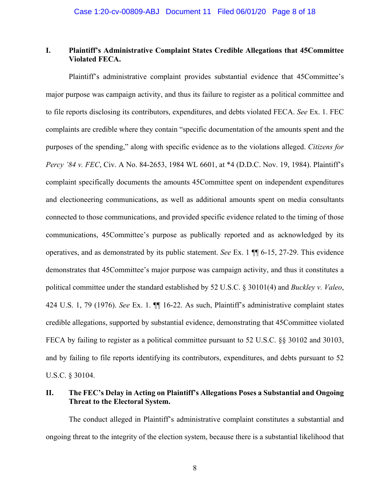# **I. Plaintiff's Administrative Complaint States Credible Allegations that 45Committee Violated FECA.**

Plaintiff's administrative complaint provides substantial evidence that 45Committee's major purpose was campaign activity, and thus its failure to register as a political committee and to file reports disclosing its contributors, expenditures, and debts violated FECA. *See* Ex. 1. FEC complaints are credible where they contain "specific documentation of the amounts spent and the purposes of the spending," along with specific evidence as to the violations alleged. *Citizens for Percy '84 v. FEC*, Civ. A No. 84-2653, 1984 WL 6601, at \*4 (D.D.C. Nov. 19, 1984). Plaintiff's complaint specifically documents the amounts 45Committee spent on independent expenditures and electioneering communications, as well as additional amounts spent on media consultants connected to those communications, and provided specific evidence related to the timing of those communications, 45Committee's purpose as publically reported and as acknowledged by its operatives, and as demonstrated by its public statement. *See* Ex. 1 ¶¶ 6-15, 27-29. This evidence demonstrates that 45Committee's major purpose was campaign activity, and thus it constitutes a political committee under the standard established by 52 U.S.C. § 30101(4) and *Buckley v. Valeo*, 424 U.S. 1, 79 (1976). *See* Ex. 1. ¶¶ 16-22. As such, Plaintiff's administrative complaint states credible allegations, supported by substantial evidence, demonstrating that 45Committee violated FECA by failing to register as a political committee pursuant to 52 U.S.C.  $\S$  30102 and 30103, and by failing to file reports identifying its contributors, expenditures, and debts pursuant to 52 U.S.C. § 30104.

# **II. The FEC's Delay in Acting on Plaintiff's Allegations Poses a Substantial and Ongoing Threat to the Electoral System.**

 The conduct alleged in Plaintiff's administrative complaint constitutes a substantial and ongoing threat to the integrity of the election system, because there is a substantial likelihood that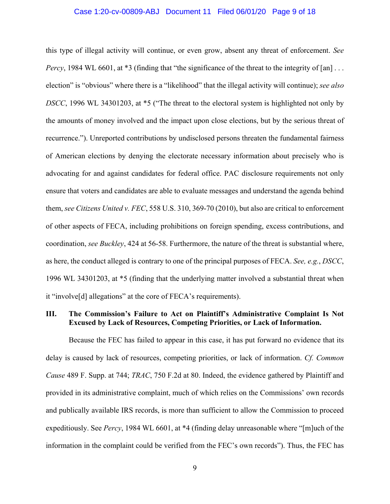#### Case 1:20-cv-00809-ABJ Document 11 Filed 06/01/20 Page 9 of 18

this type of illegal activity will continue, or even grow, absent any threat of enforcement. *See Percy*, 1984 WL 6601, at \*3 (finding that "the significance of the threat to the integrity of [an] ... election" is "obvious" where there is a "likelihood" that the illegal activity will continue); *see also DSCC*, 1996 WL 34301203, at \*5 ("The threat to the electoral system is highlighted not only by the amounts of money involved and the impact upon close elections, but by the serious threat of recurrence."). Unreported contributions by undisclosed persons threaten the fundamental fairness of American elections by denying the electorate necessary information about precisely who is advocating for and against candidates for federal office. PAC disclosure requirements not only ensure that voters and candidates are able to evaluate messages and understand the agenda behind them, *see Citizens United v. FEC*, 558 U.S. 310, 369-70 (2010), but also are critical to enforcement of other aspects of FECA, including prohibitions on foreign spending, excess contributions, and coordination, *see Buckley*, 424 at 56-58. Furthermore, the nature of the threat is substantial where, as here, the conduct alleged is contrary to one of the principal purposes of FECA. *See, e.g.*, *DSCC*, 1996 WL 34301203, at \*5 (finding that the underlying matter involved a substantial threat when it "involve[d] allegations" at the core of FECA's requirements).

# **III. The Commission's Failure to Act on Plaintiff's Administrative Complaint Is Not Excused by Lack of Resources, Competing Priorities, or Lack of Information.**

 Because the FEC has failed to appear in this case, it has put forward no evidence that its delay is caused by lack of resources, competing priorities, or lack of information. *Cf. Common Cause* 489 F. Supp. at 744; *TRAC*, 750 F.2d at 80. Indeed, the evidence gathered by Plaintiff and provided in its administrative complaint, much of which relies on the Commissions' own records and publically available IRS records, is more than sufficient to allow the Commission to proceed expeditiously. See *Percy*, 1984 WL 6601, at \*4 (finding delay unreasonable where "[m]uch of the information in the complaint could be verified from the FEC's own records"). Thus, the FEC has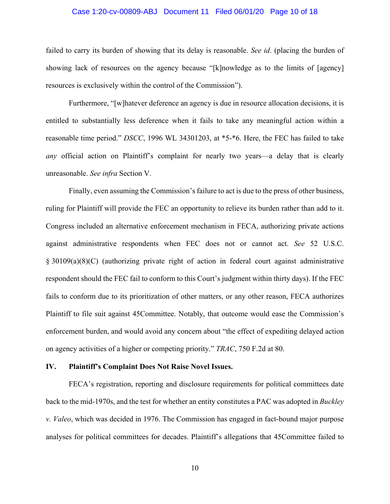# Case 1:20-cv-00809-ABJ Document 11 Filed 06/01/20 Page 10 of 18

failed to carry its burden of showing that its delay is reasonable. *See id*. (placing the burden of showing lack of resources on the agency because "[k]nowledge as to the limits of [agency] resources is exclusively within the control of the Commission").

Furthermore, "[w]hatever deference an agency is due in resource allocation decisions, it is entitled to substantially less deference when it fails to take any meaningful action within a reasonable time period." *DSCC*, 1996 WL 34301203, at \*5-\*6. Here, the FEC has failed to take *any* official action on Plaintiff's complaint for nearly two years—a delay that is clearly unreasonable. *See infra* Section V.

Finally, even assuming the Commission's failure to act is due to the press of other business, ruling for Plaintiff will provide the FEC an opportunity to relieve its burden rather than add to it. Congress included an alternative enforcement mechanism in FECA, authorizing private actions against administrative respondents when FEC does not or cannot act. *See* 52 U.S.C. § 30109(a)(8)(C) (authorizing private right of action in federal court against administrative respondent should the FEC fail to conform to this Court's judgment within thirty days). If the FEC fails to conform due to its prioritization of other matters, or any other reason, FECA authorizes Plaintiff to file suit against 45Committee. Notably, that outcome would ease the Commission's enforcement burden, and would avoid any concern about "the effect of expediting delayed action on agency activities of a higher or competing priority." *TRAC*, 750 F.2d at 80.

#### **IV. Plaintiff's Complaint Does Not Raise Novel Issues.**

FECA's registration, reporting and disclosure requirements for political committees date back to the mid-1970s, and the test for whether an entity constitutes a PAC was adopted in *Buckley v. Valeo*, which was decided in 1976. The Commission has engaged in fact-bound major purpose analyses for political committees for decades. Plaintiff's allegations that 45Committee failed to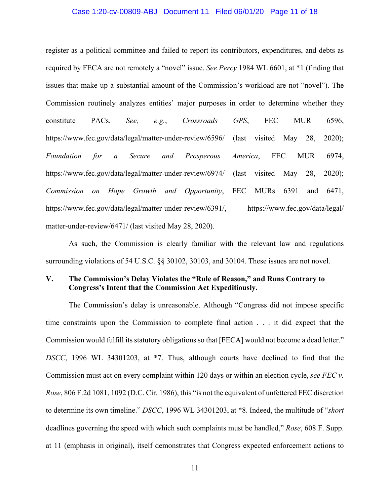### Case 1:20-cv-00809-ABJ Document 11 Filed 06/01/20 Page 11 of 18

register as a political committee and failed to report its contributors, expenditures, and debts as required by FECA are not remotely a "novel" issue. *See Percy* 1984 WL 6601, at \*1 (finding that issues that make up a substantial amount of the Commission's workload are not "novel"). The Commission routinely analyzes entities' major purposes in order to determine whether they constitute PACs. *See, e.g.*, *Crossroads GPS*, FEC MUR 6596, https://www.fec.gov/data/legal/matter-under-review/6596/ (last visited May 28, 2020); *Foundation for a Secure and Prosperous America*, FEC MUR 6974, https://www.fec.gov/data/legal/matter-under-review/6974/ (last visited May 28, 2020); *Commission on Hope Growth and Opportunity*, FEC MURs 6391 and 6471, https://www.fec.gov/data/legal/matter-under-review/6391/, https://www.fec.gov/data/legal/ matter-under-review/6471/ (last visited May 28, 2020).

 As such, the Commission is clearly familiar with the relevant law and regulations surrounding violations of 54 U.S.C. §§ 30102, 30103, and 30104. These issues are not novel.

# **V. The Commission's Delay Violates the "Rule of Reason," and Runs Contrary to Congress's Intent that the Commission Act Expeditiously.**

 The Commission's delay is unreasonable. Although "Congress did not impose specific time constraints upon the Commission to complete final action . . . it did expect that the Commission would fulfill its statutory obligations so that [FECA] would not become a dead letter." *DSCC*, 1996 WL 34301203, at \*7. Thus, although courts have declined to find that the Commission must act on every complaint within 120 days or within an election cycle, *see FEC v. Rose*, 806 F.2d 1081, 1092 (D.C. Cir. 1986), this "is not the equivalent of unfettered FEC discretion to determine its own timeline." *DSCC*, 1996 WL 34301203, at \*8. Indeed, the multitude of "*short* deadlines governing the speed with which such complaints must be handled," *Rose*, 608 F. Supp. at 11 (emphasis in original), itself demonstrates that Congress expected enforcement actions to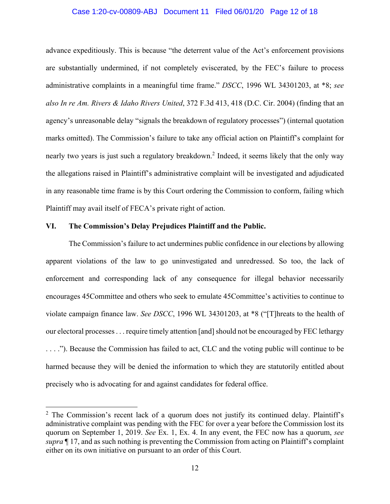# Case 1:20-cv-00809-ABJ Document 11 Filed 06/01/20 Page 12 of 18

advance expeditiously. This is because "the deterrent value of the Act's enforcement provisions are substantially undermined, if not completely eviscerated, by the FEC's failure to process administrative complaints in a meaningful time frame." *DSCC*, 1996 WL 34301203, at \*8; *see also In re Am. Rivers & Idaho Rivers United*, 372 F.3d 413, 418 (D.C. Cir. 2004) (finding that an agency's unreasonable delay "signals the breakdown of regulatory processes") (internal quotation marks omitted). The Commission's failure to take any official action on Plaintiff's complaint for nearly two years is just such a regulatory breakdown.<sup>2</sup> Indeed, it seems likely that the only way the allegations raised in Plaintiff's administrative complaint will be investigated and adjudicated in any reasonable time frame is by this Court ordering the Commission to conform, failing which Plaintiff may avail itself of FECA's private right of action.

# **VI. The Commission's Delay Prejudices Plaintiff and the Public.**

 $\overline{a}$ 

The Commission's failure to act undermines public confidence in our elections by allowing apparent violations of the law to go uninvestigated and unredressed. So too, the lack of enforcement and corresponding lack of any consequence for illegal behavior necessarily encourages 45Committee and others who seek to emulate 45Committee's activities to continue to violate campaign finance law. *See DSCC*, 1996 WL 34301203, at \*8 ("[T]hreats to the health of our electoral processes . . . require timely attention [and] should not be encouraged by FEC lethargy . . . ."). Because the Commission has failed to act, CLC and the voting public will continue to be harmed because they will be denied the information to which they are statutorily entitled about precisely who is advocating for and against candidates for federal office.

 $2$  The Commission's recent lack of a quorum does not justify its continued delay. Plaintiff's administrative complaint was pending with the FEC for over a year before the Commission lost its quorum on September 1, 2019. *See* Ex. 1, Ex. 4. In any event, the FEC now has a quorum, *see supra* ¶ 17, and as such nothing is preventing the Commission from acting on Plaintiff's complaint either on its own initiative on pursuant to an order of this Court.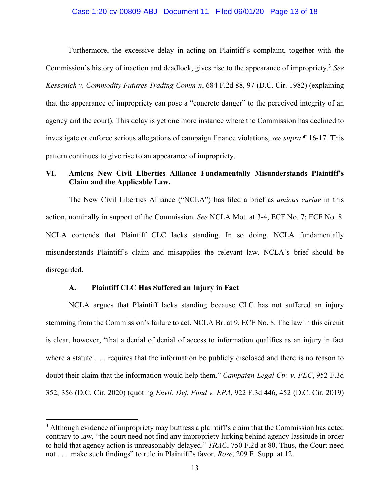# Case 1:20-cv-00809-ABJ Document 11 Filed 06/01/20 Page 13 of 18

Furthermore, the excessive delay in acting on Plaintiff's complaint, together with the Commission's history of inaction and deadlock, gives rise to the appearance of impropriety.3 *See Kessenich v. Commodity Futures Trading Comm'n*, 684 F.2d 88, 97 (D.C. Cir. 1982) (explaining that the appearance of impropriety can pose a "concrete danger" to the perceived integrity of an agency and the court). This delay is yet one more instance where the Commission has declined to investigate or enforce serious allegations of campaign finance violations, *see supra* ¶ 16-17. This pattern continues to give rise to an appearance of impropriety.

# **VI. Amicus New Civil Liberties Alliance Fundamentally Misunderstands Plaintiff's Claim and the Applicable Law.**

The New Civil Liberties Alliance ("NCLA") has filed a brief as *amicus curiae* in this action, nominally in support of the Commission. *See* NCLA Mot. at 3-4, ECF No. 7; ECF No. 8. NCLA contends that Plaintiff CLC lacks standing. In so doing, NCLA fundamentally misunderstands Plaintiff's claim and misapplies the relevant law. NCLA's brief should be disregarded.

# **A. Plaintiff CLC Has Suffered an Injury in Fact**

 $\overline{a}$ 

NCLA argues that Plaintiff lacks standing because CLC has not suffered an injury stemming from the Commission's failure to act. NCLA Br. at 9, ECF No. 8. The law in this circuit is clear, however, "that a denial of denial of access to information qualifies as an injury in fact where a statute . . . requires that the information be publicly disclosed and there is no reason to doubt their claim that the information would help them." *Campaign Legal Ctr. v. FEC*, 952 F.3d 352, 356 (D.C. Cir. 2020) (quoting *Envtl. Def. Fund v. EPA*, 922 F.3d 446, 452 (D.C. Cir. 2019)

 $3$  Although evidence of impropriety may buttress a plaintiff's claim that the Commission has acted contrary to law, "the court need not find any impropriety lurking behind agency lassitude in order to hold that agency action is unreasonably delayed." *TRAC*, 750 F.2d at 80. Thus, the Court need not . . . make such findings" to rule in Plaintiff's favor. *Rose*, 209 F. Supp. at 12.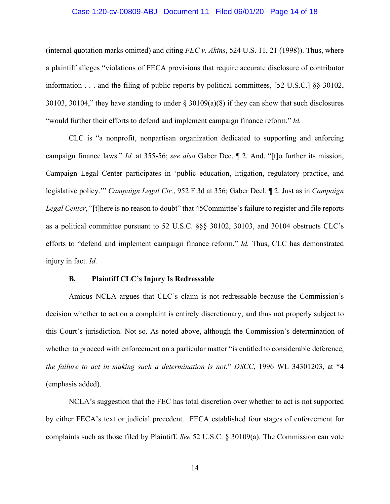### Case 1:20-cv-00809-ABJ Document 11 Filed 06/01/20 Page 14 of 18

(internal quotation marks omitted) and citing *FEC v. Akins*, 524 U.S. 11, 21 (1998)). Thus, where a plaintiff alleges "violations of FECA provisions that require accurate disclosure of contributor information . . . and the filing of public reports by political committees, [52 U.S.C.] §§ 30102, 30103, 30104," they have standing to under § 30109(a)(8) if they can show that such disclosures "would further their efforts to defend and implement campaign finance reform." *Id.* 

CLC is "a nonprofit, nonpartisan organization dedicated to supporting and enforcing campaign finance laws." *Id.* at 355-56; *see also* Gaber Dec. ¶ 2. And, "[t]o further its mission, Campaign Legal Center participates in 'public education, litigation, regulatory practice, and legislative policy.'" *Campaign Legal Ctr.*, 952 F.3d at 356; Gaber Decl. ¶ 2. Just as in *Campaign Legal Center*, "[t]here is no reason to doubt" that 45Committee's failure to register and file reports as a political committee pursuant to 52 U.S.C. §§§ 30102, 30103, and 30104 obstructs CLC's efforts to "defend and implement campaign finance reform." *Id.* Thus, CLC has demonstrated injury in fact. *Id.*

#### **B. Plaintiff CLC's Injury Is Redressable**

Amicus NCLA argues that CLC's claim is not redressable because the Commission's decision whether to act on a complaint is entirely discretionary, and thus not properly subject to this Court's jurisdiction. Not so. As noted above, although the Commission's determination of whether to proceed with enforcement on a particular matter "is entitled to considerable deference, *the failure to act in making such a determination is not.*" *DSCC*, 1996 WL 34301203, at \*4 (emphasis added).

NCLA's suggestion that the FEC has total discretion over whether to act is not supported by either FECA's text or judicial precedent. FECA established four stages of enforcement for complaints such as those filed by Plaintiff. *See* 52 U.S.C. § 30109(a). The Commission can vote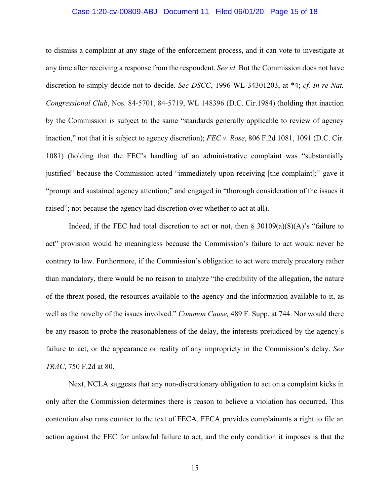# Case 1:20-cv-00809-ABJ Document 11 Filed 06/01/20 Page 15 of 18

to dismiss a complaint at any stage of the enforcement process, and it can vote to investigate at any time after receiving a response from the respondent. *See id*. But the Commission does not have discretion to simply decide not to decide. *See DSCC*, 1996 WL 34301203, at \*4; *cf. In re Nat. Congressional Club*, Nos. 84-5701, 84-5719, WL 148396 (D.C. Cir.1984) (holding that inaction by the Commission is subject to the same "standards generally applicable to review of agency inaction," not that it is subject to agency discretion); *FEC v. Rose*, 806 F.2d 1081, 1091 (D.C. Cir. 1081) (holding that the FEC's handling of an administrative complaint was "substantially justified" because the Commission acted "immediately upon receiving [the complaint];" gave it "prompt and sustained agency attention;" and engaged in "thorough consideration of the issues it raised"; not because the agency had discretion over whether to act at all).

Indeed, if the FEC had total discretion to act or not, then  $\S 30109(a)(8)(A)$ 's "failure to act" provision would be meaningless because the Commission's failure to act would never be contrary to law. Furthermore, if the Commission's obligation to act were merely precatory rather than mandatory, there would be no reason to analyze "the credibility of the allegation, the nature of the threat posed, the resources available to the agency and the information available to it, as well as the novelty of the issues involved." *Common Cause,* 489 F. Supp. at 744. Nor would there be any reason to probe the reasonableness of the delay, the interests prejudiced by the agency's failure to act, or the appearance or reality of any impropriety in the Commission's delay. *See TRAC*, 750 F.2d at 80.

Next, NCLA suggests that any non-discretionary obligation to act on a complaint kicks in only after the Commission determines there is reason to believe a violation has occurred. This contention also runs counter to the text of FECA. FECA provides complainants a right to file an action against the FEC for unlawful failure to act, and the only condition it imposes is that the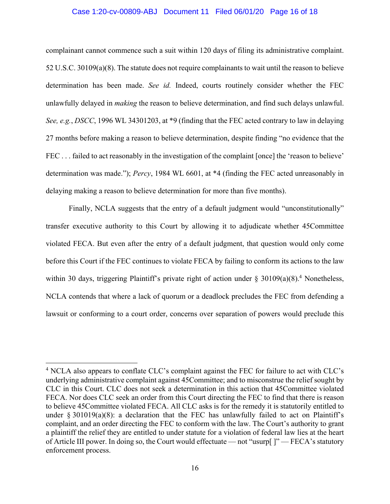# Case 1:20-cv-00809-ABJ Document 11 Filed 06/01/20 Page 16 of 18

complainant cannot commence such a suit within 120 days of filing its administrative complaint. 52 U.S.C. 30109(a)(8). The statute does not require complainants to wait until the reason to believe determination has been made. *See id.* Indeed, courts routinely consider whether the FEC unlawfully delayed in *making* the reason to believe determination, and find such delays unlawful. *See, e.g.*, *DSCC*, 1996 WL 34301203, at \*9 (finding that the FEC acted contrary to law in delaying 27 months before making a reason to believe determination, despite finding "no evidence that the FEC . . . failed to act reasonably in the investigation of the complaint [once] the 'reason to believe' determination was made."); *Percy*, 1984 WL 6601, at \*4 (finding the FEC acted unreasonably in delaying making a reason to believe determination for more than five months).

Finally, NCLA suggests that the entry of a default judgment would "unconstitutionally" transfer executive authority to this Court by allowing it to adjudicate whether 45Committee violated FECA. But even after the entry of a default judgment, that question would only come before this Court if the FEC continues to violate FECA by failing to conform its actions to the law within 30 days, triggering Plaintiff's private right of action under  $\S 30109(a)(8)$ .<sup>4</sup> Nonetheless, NCLA contends that where a lack of quorum or a deadlock precludes the FEC from defending a lawsuit or conforming to a court order, concerns over separation of powers would preclude this

 $\overline{a}$ 

<sup>&</sup>lt;sup>4</sup> NCLA also appears to conflate CLC's complaint against the FEC for failure to act with CLC's underlying administrative complaint against 45Committee; and to misconstrue the relief sought by CLC in this Court. CLC does not seek a determination in this action that 45Committee violated FECA. Nor does CLC seek an order from this Court directing the FEC to find that there is reason to believe 45Committee violated FECA. All CLC asks is for the remedy it is statutorily entitled to under  $\S 301019(a)(8)$ : a declaration that the FEC has unlawfully failed to act on Plaintiff's complaint, and an order directing the FEC to conform with the law. The Court's authority to grant a plaintiff the relief they are entitled to under statute for a violation of federal law lies at the heart of Article III power. In doing so, the Court would effectuate — not "usurp[ ]" — FECA's statutory enforcement process.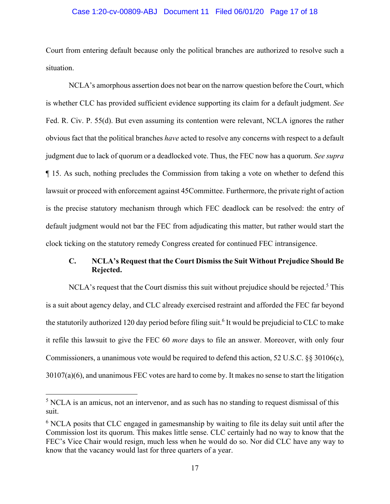# Case 1:20-cv-00809-ABJ Document 11 Filed 06/01/20 Page 17 of 18

Court from entering default because only the political branches are authorized to resolve such a situation.

NCLA's amorphous assertion does not bear on the narrow question before the Court, which is whether CLC has provided sufficient evidence supporting its claim for a default judgment. *See* Fed. R. Civ. P. 55(d). But even assuming its contention were relevant, NCLA ignores the rather obvious fact that the political branches *have* acted to resolve any concerns with respect to a default judgment due to lack of quorum or a deadlocked vote. Thus, the FEC now has a quorum. *See supra*  ¶ 15. As such, nothing precludes the Commission from taking a vote on whether to defend this lawsuit or proceed with enforcement against 45Committee. Furthermore, the private right of action is the precise statutory mechanism through which FEC deadlock can be resolved: the entry of default judgment would not bar the FEC from adjudicating this matter, but rather would start the clock ticking on the statutory remedy Congress created for continued FEC intransigence.

# **C. NCLA's Request that the Court Dismiss the Suit Without Prejudice Should Be Rejected.**

NCLA's request that the Court dismiss this suit without prejudice should be rejected.<sup>5</sup> This is a suit about agency delay, and CLC already exercised restraint and afforded the FEC far beyond the statutorily authorized 120 day period before filing suit.<sup>6</sup> It would be prejudicial to CLC to make it refile this lawsuit to give the FEC 60 *more* days to file an answer. Moreover, with only four Commissioners, a unanimous vote would be required to defend this action, 52 U.S.C. §§ 30106(c), 30107(a)(6), and unanimous FEC votes are hard to come by. It makes no sense to start the litigation

 $\overline{a}$ 

<sup>&</sup>lt;sup>5</sup> NCLA is an amicus, not an intervenor, and as such has no standing to request dismissal of this suit.

<sup>&</sup>lt;sup>6</sup> NCLA posits that CLC engaged in gamesmanship by waiting to file its delay suit until after the Commission lost its quorum. This makes little sense. CLC certainly had no way to know that the FEC's Vice Chair would resign, much less when he would do so. Nor did CLC have any way to know that the vacancy would last for three quarters of a year.